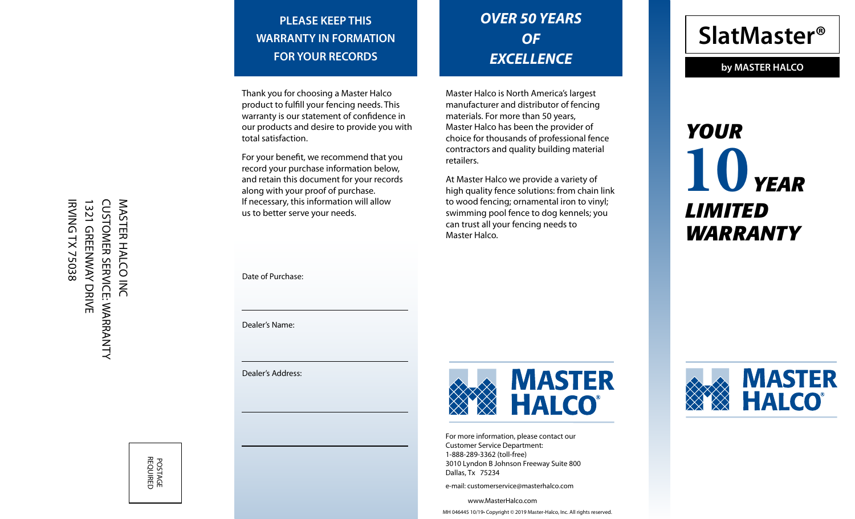**PLEASE KEEP THIS WARRANTY IN FORMATION FOR YOUR RECORDS**

# *OVER 50 YEARS OF EXCELLENCE*

Thank you for choosing a Master Halco product to fulfill your fencing needs. This warranty is our statement of confidence in our products and desire to provide you with total satisfaction.

For your benefit, we recommend that you record your purchase information below, and retain this document for your records along with your proof of purchase. If necessary, this information will allow us to better serve your needs.

Master Halco is North America's largest manufacturer and distributor of fencing materials. For more than 50 years, Master Halco has been the provider of choice for thousands of professional fence contractors and quality building material retailers.

At Master Halco we provide a variety of high quality fence solutions: from chain link to wood fencing; ornamental iron to vinyl; swimming pool fence to dog kennels; you can trust all your fencing needs to Master Halco.

**SlatMaster®**

**by MASTER HALCO**

# *YOUR* *YEAR* **10** *LIMITED WARRANTY*

Date of Purchase:

Dealer's Name:

Dealer's Address:



For more information, please contact our Customer Service Department: 1-888-289-3362 (toll-free) 3010 Lyndon B Johnson Freeway Suite 800 Dallas, Tx 75234

e-mail: customerservice@masterhalco.com

www.MasterHalco.com MH 046445 10/19• Copyright © 201 9 Master-Halco, Inc. All rights reserved.



**IRVING TX 75038** 1321 GREENWAY DRIVE **CUSTOMER SERVICE: WARRANTY** CUSTOMER SERVICE: WARRANTY MASTER HALCO INC IRVING TX 75038 1321 GREENWAY DRIVE MASTER HALCO INC

> POSTAGE<br>REQUIRED REQUIRED POSTAGE